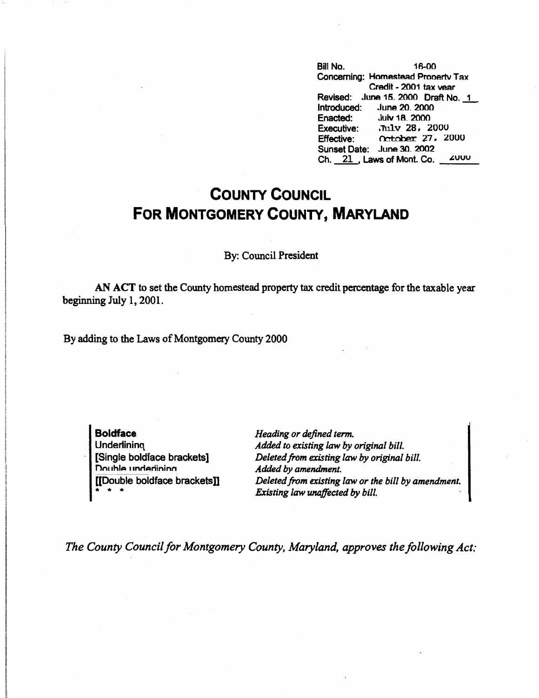Bill No. 16-00 Concerning: Homestead Prooertv Tax Credit - 2001 tax vear Revised: June 15. 2000 Draft No. 1 Introduced: June 20. 2000 Enacted: Julv 18. 2000 Executive: .Tulv 28, 2000<br>Effective: ... October 27, 29 Effective: Ck!tnber 27. 2000 Sunset Date: June 30. 2002 Ch.  $21$ , Laws of Mont. Co.  $2000$ 

## **COUNTY COUNCIL FOR MONTGOMERY COUNTY, MARYLAND**

By: Council President

**AN ACT** to set the County homestead property tax credit percentage for the taxable year beginning July 1, 2001.

By adding to the Laws of Montgomery County 2000

**Boldface Underlining** [Single boldface brackets] n<br>Double underlining [[Double boldface brackets]]  $\frac{1}{2}$ 

*Heading or defined term. Added to existing law by original bill. Deleted from existing law by original bill. Added by amendment. Deleted from existing law or the bill by amendment. Existing law unaffected by bill.* 

*The County Council for Montgomery County, Maryland, approves the following Act:*